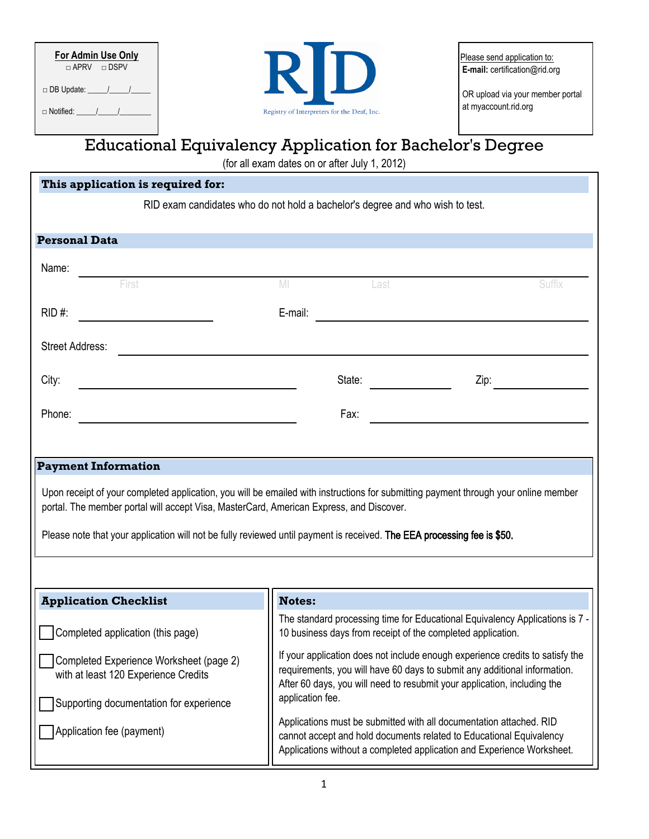| For Admin Use Only             |  |  |  |  |
|--------------------------------|--|--|--|--|
| $\Box$ APRV $\Box$ DSPV        |  |  |  |  |
| □ DB Update: _____/_____/_____ |  |  |  |  |
| $\Box$ Notified: $\qquad$ /    |  |  |  |  |



Please send application to: **E-mail:** certification@rid.org

OR upload via your member portal at myaccount.rid.org

## Educational Equivalency Application for Bachelor's Degree

(for all exam dates on or after July 1, 2012)

| This application is required for:                                                                                                                                                                                                                                                                                                                         |                                                                                                                                                                                                                                                            |                                                   |        |  |
|-----------------------------------------------------------------------------------------------------------------------------------------------------------------------------------------------------------------------------------------------------------------------------------------------------------------------------------------------------------|------------------------------------------------------------------------------------------------------------------------------------------------------------------------------------------------------------------------------------------------------------|---------------------------------------------------|--------|--|
| RID exam candidates who do not hold a bachelor's degree and who wish to test.                                                                                                                                                                                                                                                                             |                                                                                                                                                                                                                                                            |                                                   |        |  |
|                                                                                                                                                                                                                                                                                                                                                           |                                                                                                                                                                                                                                                            |                                                   |        |  |
| <b>Personal Data</b>                                                                                                                                                                                                                                                                                                                                      |                                                                                                                                                                                                                                                            |                                                   |        |  |
| Name:<br>First                                                                                                                                                                                                                                                                                                                                            |                                                                                                                                                                                                                                                            |                                                   |        |  |
|                                                                                                                                                                                                                                                                                                                                                           | M                                                                                                                                                                                                                                                          | Last                                              | Suffix |  |
| RID #:                                                                                                                                                                                                                                                                                                                                                    | E-mail:                                                                                                                                                                                                                                                    | <u> 1980 - Jan Barbara Barat, prima politik (</u> |        |  |
| Street Address:                                                                                                                                                                                                                                                                                                                                           |                                                                                                                                                                                                                                                            |                                                   |        |  |
| City:                                                                                                                                                                                                                                                                                                                                                     | State:                                                                                                                                                                                                                                                     |                                                   | Zip:   |  |
| Phone:                                                                                                                                                                                                                                                                                                                                                    | Fax:                                                                                                                                                                                                                                                       |                                                   |        |  |
|                                                                                                                                                                                                                                                                                                                                                           |                                                                                                                                                                                                                                                            |                                                   |        |  |
| <b>Payment Information</b>                                                                                                                                                                                                                                                                                                                                |                                                                                                                                                                                                                                                            |                                                   |        |  |
| Upon receipt of your completed application, you will be emailed with instructions for submitting payment through your online member<br>portal. The member portal will accept Visa, MasterCard, American Express, and Discover.<br>Please note that your application will not be fully reviewed until payment is received. The EEA processing fee is \$50. |                                                                                                                                                                                                                                                            |                                                   |        |  |
|                                                                                                                                                                                                                                                                                                                                                           |                                                                                                                                                                                                                                                            |                                                   |        |  |
| <b>Application Checklist</b>                                                                                                                                                                                                                                                                                                                              | <b>Notes:</b>                                                                                                                                                                                                                                              |                                                   |        |  |
| Completed application (this page)                                                                                                                                                                                                                                                                                                                         | The standard processing time for Educational Equivalency Applications is 7 -<br>10 business days from receipt of the completed application.                                                                                                                |                                                   |        |  |
| Completed Experience Worksheet (page 2)<br>with at least 120 Experience Credits                                                                                                                                                                                                                                                                           | If your application does not include enough experience credits to satisfy the<br>requirements, you will have 60 days to submit any additional information.<br>After 60 days, you will need to resubmit your application, including the<br>application fee. |                                                   |        |  |
| Supporting documentation for experience<br>Application fee (payment)                                                                                                                                                                                                                                                                                      | Applications must be submitted with all documentation attached. RID<br>cannot accept and hold documents related to Educational Equivalency<br>Applications without a completed application and Experience Worksheet.                                       |                                                   |        |  |